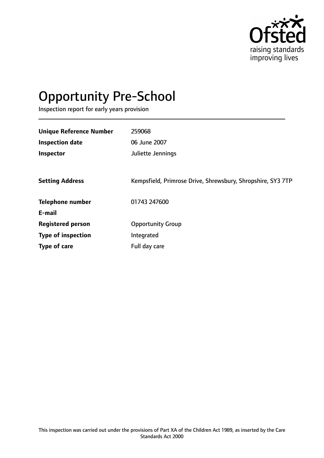

# Opportunity Pre-School

Inspection report for early years provision

| <b>Unique Reference Number</b> | 259068                                                      |
|--------------------------------|-------------------------------------------------------------|
|                                |                                                             |
| <b>Inspection date</b>         | 06 June 2007                                                |
| Inspector                      | Juliette Jennings                                           |
|                                |                                                             |
| <b>Setting Address</b>         | Kempsfield, Primrose Drive, Shrewsbury, Shropshire, SY3 7TP |
| <b>Telephone number</b>        | 01743 247600                                                |
| E-mail                         |                                                             |
| <b>Registered person</b>       | <b>Opportunity Group</b>                                    |
| <b>Type of inspection</b>      | Integrated                                                  |
| Type of care                   | Full day care                                               |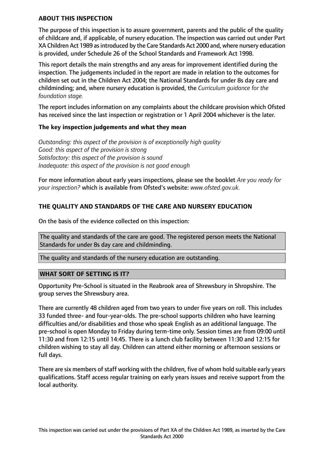### **ABOUT THIS INSPECTION**

The purpose of this inspection is to assure government, parents and the public of the quality of childcare and, if applicable, of nursery education. The inspection was carried out under Part XA Children Act 1989 as introduced by the Care Standards Act 2000 and, where nursery education is provided, under Schedule 26 of the School Standards and Framework Act 1998.

This report details the main strengths and any areas for improvement identified during the inspection. The judgements included in the report are made in relation to the outcomes for children set out in the Children Act 2004; the National Standards for under 8s day care and childminding; and, where nursery education is provided, the *Curriculum guidance for the foundation stage.*

The report includes information on any complaints about the childcare provision which Ofsted has received since the last inspection or registration or 1 April 2004 whichever is the later.

#### **The key inspection judgements and what they mean**

*Outstanding: this aspect of the provision is of exceptionally high quality Good: this aspect of the provision is strong Satisfactory: this aspect of the provision is sound Inadequate: this aspect of the provision is not good enough*

For more information about early years inspections, please see the booklet *Are you ready for your inspection?* which is available from Ofsted's website: *www.ofsted.gov.uk.*

# **THE QUALITY AND STANDARDS OF THE CARE AND NURSERY EDUCATION**

On the basis of the evidence collected on this inspection:

The quality and standards of the care are good. The registered person meets the National Standards for under 8s day care and childminding.

The quality and standards of the nursery education are outstanding.

#### **WHAT SORT OF SETTING IS IT?**

Opportunity Pre-School is situated in the Reabrook area of Shrewsbury in Shropshire. The group serves the Shrewsbury area.

There are currently 48 children aged from two years to under five years on roll. This includes 33 funded three- and four-year-olds. The pre-school supports children who have learning difficulties and/or disabilities and those who speak English as an additional language. The pre-school is open Monday to Friday during term-time only. Session times are from 09:00 until 11:30 and from 12:15 until 14:45. There is a lunch club facility between 11:30 and 12:15 for children wishing to stay all day. Children can attend either morning or afternoon sessions or full days.

There are six members of staff working with the children, five of whom hold suitable early years qualifications. Staff access regular training on early years issues and receive support from the local authority.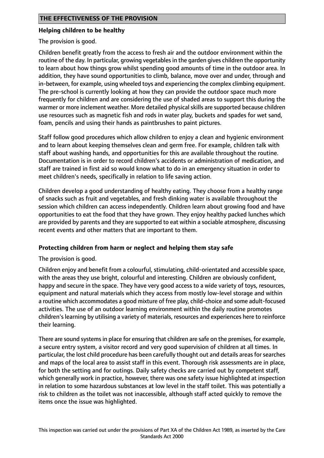## **Helping children to be healthy**

The provision is good.

Children benefit greatly from the access to fresh air and the outdoor environment within the routine of the day. In particular, growing vegetables in the garden gives children the opportunity to learn about how things grow whilst spending good amounts of time in the outdoor area. In addition, they have sound opportunities to climb, balance, move over and under, through and in-between, for example, using wheeled toys and experiencing the complex climbing equipment. The pre-school is currently looking at how they can provide the outdoor space much more frequently for children and are considering the use of shaded areas to support this during the warmer or more inclement weather. More detailed physical skills are supported because children use resources such as magnetic fish and rods in water play, buckets and spades for wet sand, foam, pencils and using their hands as paintbrushes to paint pictures.

Staff follow good procedures which allow children to enjoy a clean and hygienic environment and to learn about keeping themselves clean and germ free. For example, children talk with staff about washing hands, and opportunities for this are available throughout the routine. Documentation is in order to record children's accidents or administration of medication, and staff are trained in first aid so would know what to do in an emergency situation in order to meet children's needs, specifically in relation to life saving action.

Children develop a good understanding of healthy eating. They choose from a healthy range of snacks such as fruit and vegetables, and fresh dinking water is available throughout the session which children can access independently. Children learn about growing food and have opportunities to eat the food that they have grown. They enjoy healthy packed lunches which are provided by parents and they are supported to eat within a sociable atmosphere, discussing recent events and other matters that are important to them.

## **Protecting children from harm or neglect and helping them stay safe**

The provision is good.

Children enjoy and benefit from a colourful, stimulating, child-orientated and accessible space, with the areas they use bright, colourful and interesting. Children are obviously confident, happy and secure in the space. They have very good access to a wide variety of toys, resources, equipment and natural materials which they access from mostly low-level storage and within a routine which accommodates a good mixture of free play, child-choice and some adult-focused activities. The use of an outdoor learning environment within the daily routine promotes children's learning by utilising a variety of materials, resources and experiences here to reinforce their learning.

There are sound systems in place for ensuring that children are safe on the premises, for example, a secure entry system, a visitor record and very good supervision of children at all times. In particular, the lost child procedure has been carefully thought out and details areas for searches and maps of the local area to assist staff in this event. Thorough risk assessments are in place, for both the setting and for outings. Daily safety checks are carried out by competent staff, which generally work in practice, however, there was one safety issue highlighted at inspection in relation to some hazardous substances at low level in the staff toilet. This was potentially a risk to children as the toilet was not inaccessible, although staff acted quickly to remove the items once the issue was highlighted.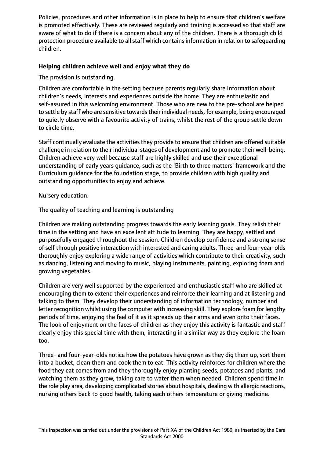Policies, procedures and other information is in place to help to ensure that children's welfare is promoted effectively. These are reviewed regularly and training is accessed so that staff are aware of what to do if there is a concern about any of the children. There is a thorough child protection procedure available to all staff which contains information in relation to safequarding children.

# **Helping children achieve well and enjoy what they do**

The provision is outstanding.

Children are comfortable in the setting because parents regularly share information about children's needs, interests and experiences outside the home. They are enthusiastic and self-assured in this welcoming environment. Those who are new to the pre-school are helped to settle by staff who are sensitive towards their individual needs, for example, being encouraged to quietly observe with a favourite activity of trains, whilst the rest of the group settle down to circle time.

Staff continually evaluate the activities they provide to ensure that children are offered suitable challenge in relation to their individual stages of development and to promote their well-being. Children achieve very well because staff are highly skilled and use their exceptional understanding of early years guidance, such as the 'Birth to three matters' framework and the Curriculum guidance for the foundation stage, to provide children with high quality and outstanding opportunities to enjoy and achieve.

Nursery education.

The quality of teaching and learning is outstanding

Children are making outstanding progress towards the early learning goals. They relish their time in the setting and have an excellent attitude to learning. They are happy, settled and purposefully engaged throughout the session. Children develop confidence and a strong sense of self through positive interaction with interested and caring adults. Three-and four-year-olds thoroughly enjoy exploring a wide range of activities which contribute to their creativity, such as dancing, listening and moving to music, playing instruments, painting, exploring foam and growing vegetables.

Children are very well supported by the experienced and enthusiastic staff who are skilled at encouraging them to extend their experiences and reinforce their learning and at listening and talking to them. They develop their understanding of information technology, number and letter recognition whilst using the computer with increasing skill. They explore foam for lengthy periods of time, enjoying the feel of it as it spreads up their arms and even onto their faces. The look of enjoyment on the faces of children as they enjoy this activity is fantastic and staff clearly enjoy this special time with them, interacting in a similar way as they explore the foam too.

Three- and four-year-olds notice how the potatoes have grown as they dig them up, sort them into a bucket, clean them and cook them to eat. This activity reinforces for children where the food they eat comes from and they thoroughly enjoy planting seeds, potatoes and plants, and watching them as they grow, taking care to water them when needed. Children spend time in the role play area, developing complicated stories about hospitals, dealing with allergic reactions, nursing others back to good health, taking each others temperature or giving medicine.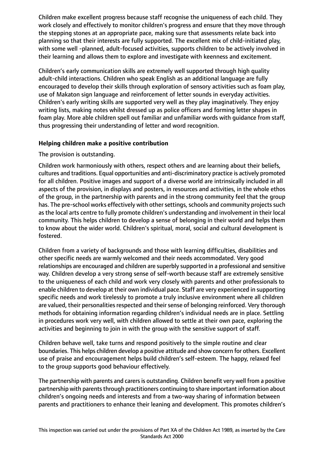Children make excellent progress because staff recognise the uniqueness of each child. They work closely and effectively to monitor children's progress and ensure that they move through the stepping stones at an appropriate pace, making sure that assessments relate back into planning so that their interests are fully supported. The excellent mix of child-initiated play, with some well -planned, adult-focused activities, supports children to be actively involved in their learning and allows them to explore and investigate with keenness and excitement.

Children's early communication skills are extremely well supported through high quality adult-child interactions. Children who speak English as an additional language are fully encouraged to develop their skills through exploration of sensory activities such as foam play, use of Makaton sign language and reinforcement of letter sounds in everyday activities. Children's early writing skills are supported very well as they play imaginatively. They enjoy writing lists, making notes whilst dressed up as police officers and forming letter shapes in foam play. More able children spell out familiar and unfamiliar words with guidance from staff, thus progressing their understanding of letter and word recognition.

## **Helping children make a positive contribution**

The provision is outstanding.

Children work harmoniously with others, respect others and are learning about their beliefs, cultures and traditions. Equal opportunities and anti-discriminatory practice is actively promoted for all children. Positive images and support of a diverse world are intrinsically included in all aspects of the provision, in displays and posters, in resources and activities, in the whole ethos of the group, in the partnership with parents and in the strong community feel that the group has. The pre-school works effectively with other settings, schools and community projects such as the local arts centre to fully promote children's understanding and involvement in their local community. This helps children to develop a sense of belonging in their world and helps them to know about the wider world. Children's spiritual, moral, social and cultural development is fostered.

Children from a variety of backgrounds and those with learning difficulties, disabilities and other specific needs are warmly welcomed and their needs accommodated. Very good relationships are encouraged and children are superbly supported in a professional and sensitive way. Children develop a very strong sense of self-worth because staff are extremely sensitive to the uniqueness of each child and work very closely with parents and other professionals to enable children to develop at their own individual pace. Staff are very experienced in supporting specific needs and work tirelessly to promote a truly inclusive environment where all children are valued, their personalities respected and their sense of belonging reinforced. Very thorough methods for obtaining information regarding children's individual needs are in place. Settling in procedures work very well, with children allowed to settle at their own pace, exploring the activities and beginning to join in with the group with the sensitive support of staff.

Children behave well, take turns and respond positively to the simple routine and clear boundaries. This helps children develop a positive attitude and show concern for others. Excellent use of praise and encouragement helps build children's self-esteem. The happy, relaxed feel to the group supports good behaviour effectively.

The partnership with parents and carers is outstanding. Children benefit very well from a positive partnership with parents through practitioners continuing to share important information about children's ongoing needs and interests and from a two-way sharing of information between parents and practitioners to enhance their leaning and development. This promotes children's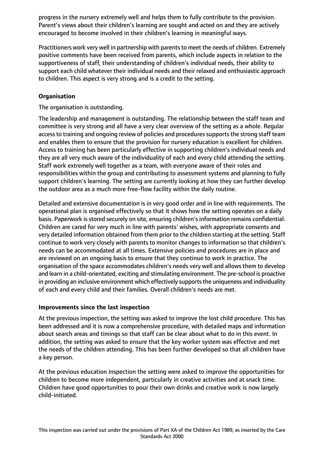progress in the nursery extremely well and helps them to fully contribute to the provision. Parent's views about their children's learning are sought and acted on and they are actively encouraged to become involved in their children's learning in meaningful ways.

Practitioners work very well in partnership with parentsto meet the needs of children. Extremely positive comments have been received from parents, which include aspects in relation to the supportiveness of staff, their understanding of children's individual needs, their ability to support each child whatever their individual needs and their relaxed and enthusiastic approach to children. This aspect is very strong and is a credit to the setting.

# **Organisation**

The organisation is outstanding.

The leadership and management is outstanding. The relationship between the staff team and committee is very strong and all have a very clear overview of the setting as a whole. Regular access to training and ongoing review of policies and procedures supports the strong staff team and enables them to ensure that the provision for nursery education is excellent for children. Access to training has been particularly effective in supporting children's individual needs and they are all very much aware of the individuality of each and every child attending the setting. Staff work extremely well together as a team, with everyone aware of their roles and responsibilities within the group and contributing to assessment systems and planning to fully support children's learning. The setting are currently looking at how they can further develop the outdoor area as a much more free-flow facility within the daily routine.

Detailed and extensive documentation is in very good order and in line with requirements. The operational plan is organised effectively so that it shows how the setting operates on a daily basis. Paperwork is stored securely on site, ensuring children's information remains confidential. Children are cared for very much in line with parents' wishes, with appropriate consents and very detailed information obtained from them prior to the children starting at the setting. Staff continue to work very closely with parents to monitor changes to information so that children's needs can be accommodated at all times. Extensive policies and procedures are in place and are reviewed on an ongoing basis to ensure that they continue to work in practice. The organisation of the space accommodates children's needs very well and allows them to develop and learn in a child-orientated, exciting and stimulating environment. The pre-school is proactive in providing an inclusive environment which effectively supports the uniqueness and individuality of each and every child and their families. Overall children's needs are met.

## **Improvements since the last inspection**

At the previous inspection, the setting was asked to improve the lost child procedure. This has been addressed and it is now a comprehensive procedure, with detailed maps and information about search areas and timings so that staff can be clear about what to do in this event. In addition, the setting was asked to ensure that the key worker system was effective and met the needs of the children attending. This has been further developed so that all children have a key person.

At the previous education inspection the setting were asked to improve the opportunities for children to become more independent, particularly in creative activities and at snack time. Children have good opportunities to pour their own drinks and creative work is now largely child-initiated.